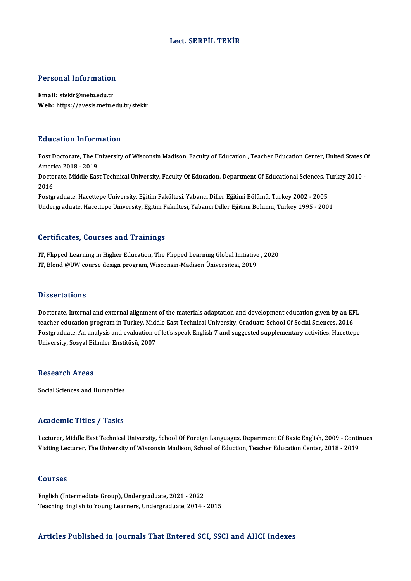## Lect. SERPİL TEKİR

# Personal Information

Personal Information<br>Email: stekir@metu.edu.tr<br>Web: https://avesis.metu.e Email: stekir@metu.edu.tr<br>Web: https://avesis.metu.edu.tr/stekir

## Education Information

Education Information<br>Post Doctorate, The University of Wisconsin Madison, Faculty of Education , Teacher Education Center, United States Of<br>America 2019 - 2019 America 2018 - 2019<br>Post Doctorate, The U.<br>America 2018 - 2019<br>Doctorate, Middle Fos Post Doctorate, The University of Wisconsin Madison, Faculty of Education , Teacher Education Center, United States C<br>America 2018 - 2019<br>Doctorate, Middle East Technical University, Faculty Of Education, Department Of Edu

Ameri<br>Docto<br>2016<br><sup>Bosto</sup> Doctorate, Middle East Technical University, Faculty Of Education, Department Of Educational Sciences, T<br>2016<br>Postgraduate, Hacettepe University, Eğitim Fakültesi, Yabancı Diller Eğitimi Bölümü, Turkey 2002 - 2005<br>Undergra

2016<br>Postgraduate, Hacettepe University, Eğitim Fakültesi, Yabancı Diller Eğitimi Bölümü, Turkey 2002 - 2005<br>Undergraduate, Hacettepe University, Eğitim Fakültesi, Yabancı Diller Eğitimi Bölümü, Turkey 1995 - 2001

## Certificates, Courses and Trainings

Certificates, Courses and Trainings<br>IT, Flipped Learning in Higher Education, The Flipped Learning Global Initiative , 2020<br>IT, Pland @UW course design program Wissensin Medison Universitesi 2019 UCT CHICACCS, UCHI SCS AND ITANININGS<br>IT, Flipped Learning in Higher Education, The Flipped Learning Global Initiative<br>IT, Blend @UW course design program, Wisconsin-Madison Üniversitesi, 2019

IT, Blend @UW course design program, Wisconsin-Madison Üniversitesi, 2019<br>Dissertations

**Dissertations**<br>Doctorate, Internal and external alignment of the materials adaptation and development education given by an EFL<br>teacher education program in Turkey, Middle Fest Technical University, Craduate School Of Soc telect cations<br>Doctorate, Internal and external alignment of the materials adaptation and development education given by an EF<br>Restanduate An analysis and evaluation of let's speak English 7 and suggested sumlementary esti Doctorate, Internal and external alignment of the materials adaptation and development education given by an EFL<br>teacher education program in Turkey, Middle East Technical University, Graduate School Of Social Sciences, 20 teacher education program in Turkey, Middle East Technical University, Graduate School Of Social Sciences, 2016<br>Postgraduate, An analysis and evaluation of let's speak English 7 and suggested supplementary activities, Hace

## Research Areas

Social Sciences and Humanities

### Academic Titles / Tasks

Lecturer, Middle East Technical University, School Of Foreign Languages, Department Of Basic English, 2009 - Continues Visiting Lecturer, The University of Wisconsin Madison, School of Eduction, Teacher Education Center, 2018 - 2019

### Courses

English (Intermediate Group), Undergraduate, 2021 - 2022 Teaching English to Young Learners, Undergraduate, 2014 - 2015

## Articles Published in Journals That Entered SCI, SSCI and AHCI Indexes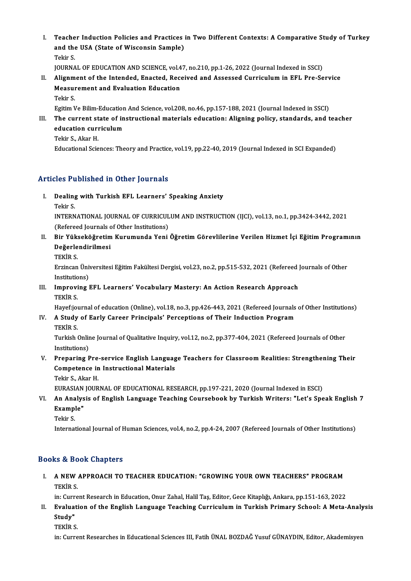I. Teacher Induction Policies and Practices in Two Different Contexts: A Comparative Study of Turkey Teacher Induction Policies and Practices<br>and the USA (State of Wisconsin Sample)<br>Tekin S Teache<br>and the<br>Tekir S.<br>JOUPMA and the USA (State of Wisconsin Sample)<br>Tekir S.<br>JOURNAL OF EDUCATION AND SCIENCE, vol.47, no.210, pp.1-26, 2022 (Journal Indexed in SSCI)<br>Alignment of the Intended, Enested, Bessived and Assessed Gunisulum in EEL Pre Se

Tekir S.<br>I . JOURNAL OF EDUCATION AND SCIENCE, vol.47, no.210, pp.1-26, 2022 (Journal Indexed in SSCI)<br>II. Alignment of the Intended, Enacted, Received and Assessed Curriculum in EFL Pre-Service<br>Mossurement and Euclistian JOURNAL OF EDUCATION AND SCIENCE, vol.4<br>Alignment of the Intended, Enacted, Reco<br>Measurement and Evaluation Education<br>Tekir S Al<mark>ignm</mark><br>Measul<br>Tekir S.<br>Faitim M Measurement and Evaluation Education<br>Tekir S.<br>Egitim Ve Bilim-Education And Science, vol.208, no.46, pp.157-188, 2021 (Journal Indexed in SSCI)<br>The current state of instructional materials education: Aligning policy, stand

# Tekir S.<br>Egitim Ve Bilim-Education And Science, vol.208, no.46, pp.157-188, 2021 (Journal Indexed in SSCI)<br>III. The current state of instructional materials education: Aligning policy, standards, and teacher<br>education curr Egitim Ve Bilim-Education<br>The current state of ineducation curriculum<br>Tekin S. Akar H The current st<br>education curr<br>Tekir S., Akar H.<br>Educational Scio e<mark>ducation curriculum</mark><br>Tekir S., Akar H.<br>Educational Sciences: Theory and Practice, vol.19, pp.22-40, 2019 (Journal Indexed in SCI Expanded)

# Articles Published in Other Journals

- rticles Published in Other Journals<br>I. Dealing with Turkish EFL Learners' Speaking Anxiety<br>Telin S Tes Tu<br>Dealing<br>Tekir S.<br>INTERN
	-

Dealing with Turkish EFL Learners' Speaking Anxiety<br>Tekir S.<br>INTERNATIONAL JOURNAL OF CURRICULUM AND INSTRUCTION (IJCI), vol.13, no.1, pp.3424-3442, 2021 Tekir S.<br>INTERNATIONAL JOURNAL OF CURRICUL<br>(Refereed Journals of Other Institutions)<br>Pir Vüksekääretim Kurumunda Veni INTERNATIONAL JOURNAL OF CURRICULUM AND INSTRUCTION (IJCI), vol.13, no.1, pp.3424-3442, 2021<br>(Refereed Journals of Other Institutions)<br>II. Bir Yükseköğretim Kurumunda Yeni Öğretim Görevlilerine Verilen Hizmet İçi Eğitim Pr

- (Refereed Journals of Other Institutions)<br>Bir Yükseköğretim Kurumunda Yeni<br>Değerlendirilmesi<br>TEKİR S. Bir Yüks<br>Değerle<br>TEKİR S.
	-

De<mark>ğerlendirilmesi</mark><br>TEKİR S.<br>Erzincan Üniversitesi Eğitim Fakültesi Dergisi, vol.23, no.2, pp.515-532, 2021 (Refereed Journals of Other TEKİR S.<br>Erzincan Ünim<br>Institutions)<br>Improving l Erzincan Üniversitesi Eğitim Fakültesi Dergisi, vol.23, no.2, pp.515-532, 2021 (Refereed ]<br>Institutions)<br>III. Improving EFL Learners' Vocabulary Mastery: An Action Research Approach<br>TEVID S

# Institutions)<br>III. Improving EFL Learners' Vocabulary Mastery: An Action Research Approach<br>TEKİR S.

Hayef:journal of education (Online), vol.18, no.3, pp.426-443, 2021 (Refereed Journals of Other Institutions)

# TEKİR S.<br>Hayef:journal of education (Online), vol.18, no.3, pp.426-443, 2021 (Refereed Journals<br>IV. A Study of Early Career Principals' Perceptions of Their Induction Program<br>TEKİR S Hayef:jo<mark>l</mark><br>A Study<br>TEKİR S.

A Study of Early Career Principals' Perceptions of Their Induction Program<br>TEKİR S.<br>Turkish Online Journal of Qualitative Inquiry, vol.12, no.2, pp.377-404, 2021 (Refereed Journals of Other<br>Institutions) TEKIR S.<br>Turkish Onlin<br>Institutions)<br>Prepering E

# V. Preparing Pre-service English Language Teachers for ClassroomRealities: Strengthening Their Institutions)<br>Preparing Pre-service English Languag<br>Competence in Instructional Materials<br>Teltin S. Almu H Preparing Pre<br>Competence in<br>Tekir S., Akar H.<br>EURASIAN IOUP Competence in Instructional Materials<br>Tekir S., Akar H.<br>EURASIAN JOURNAL OF EDUCATIONAL RESEARCH, pp.197-221, 2020 (Journal Indexed in ESCI)<br>An Analysis of English Language Teaching Coursebook by Turkish Writers: "Lat's Sp

# Tekir S., Akar H.<br>EURASIAN JOURNAL OF EDUCATIONAL RESEARCH, pp.197-221, 2020 (Journal Indexed in ESCI)<br>VI. An Analysis of English Language Teaching Coursebook by Turkish Writers: "Let's Speak English 7<br>Example" EURASIAN<br><mark>An Analys</mark><br>Example"<br><sup>Tokir S</sup> An Ana<br>Exampl<br>Tekir S.<br>Internat Example"<br>Tekir S.<br>International Journal of Human Sciences, vol.4, no.2, pp.4-24, 2007 (Refereed Journals of Other Institutions)

# Books&Book Chapters

OOks & Book Chapters<br>I. A NEW APPROACH TO TEACHER EDUCATION: "GROWING YOUR OWN TEACHERS" PROGRAM<br>TEVID S A NEW<br>A NEW<br>TEKİR S. TEKİR S.<br>in: Current Research in Education, Onur Zahal, Halil Taş, Editor, Gece Kitaplığı, Ankara, pp.151-163, 2022

- TEKİR S.<br>In: Current Research in Education, Onur Zahal, Halil Taş, Editor, Gece Kitaplığı, Ankara, pp.151-163, 2022<br>II. Evaluation of the English Language Teaching Curriculum in Turkish Primary School: A Meta-Analysis<br> Study"<br>TEKİR S Evaluati<br>Study"<br>TEKİR S.<br>in: Curre
	-

in: Current Researches in Educational Sciences III, Fatih ÜNAL BOZDAĞ Yusuf GÜNAYDIN, Editor, Akademisyen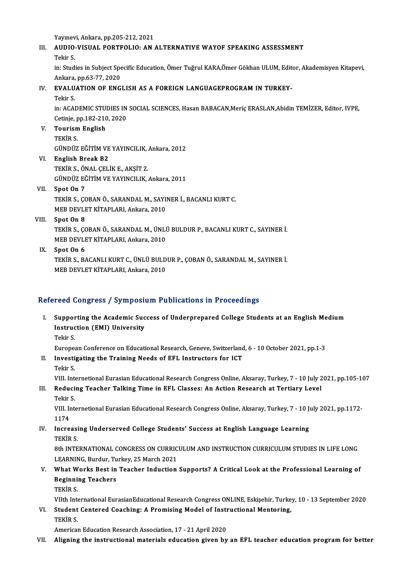Yayınevi, Ankara, pp.205-212, 2021

Yayınevi, Ankara, pp.205-212, 2021<br>III. AUDIO-VISUAL PORTFOLIO: AN ALTERNATIVE WAYOF SPEAKING ASSESSMENT<br>Tekin S Yayınev<br>AUDIO<br>Tekir S. AUDIO-VISUAL PORTFOLIO: AN ALTERNATIVE WAYOF SPEAKING ASSESSMENT<br>Tekir S.<br>in: Studies in Subject Specific Education, Ömer Tuğrul KARA,Ömer Gökhan ULUM, Editor, Akademisyen Kitapevi,<br>Ankana, np.63.77.2020

Tekir S.<br>in: Studies in Subject Spe<br>Ankara, pp.63-77, 2020<br>EVALUATION OF ENC in: Studies in Subject Specific Education, Ömer Tuğrul KARA,Ömer Gökhan ULUM, Edit<br>Ankara, pp.63-77, 2020<br>IV. EVALUATION OF ENGLISH AS A FOREIGN LANGUAGEPROGRAM IN TURKEY-<br>Tekin S Ankara,<br>**EVALU**<br>Tekir S.<br>in: ACAl

EVALUATION OF ENGLISH AS A FOREIGN LANGUAGEPROGRAM IN TURKEY-<br>Tekir S.<br>in: ACADEMIC STUDIES IN SOCIAL SCIENCES, Hasan BABACAN,Meriç ERASLAN,Abidin TEMİZER, Editor, IVPE,<br>Cetinia nn 182 210 2020 Tekir S.<br>in: ACADEMIC STUDIES IN<br>Cetinje, pp.182-210, 2020<br>Tourism English in: ACADEMIC STUI<br>Cetinje, pp.182-210<br>V. Tourism English<br>TEVID S

Cetinje, p<br><mark>Tourism</mark><br>TEKİR S.<br>CÜNDÜZ

TEKİR S.<br>GÜNDÜZ EĞİTİM VE YAYINCILIK, Ankara, 2012

VI. English Break B2 TEKİRS.,ÖNAL ÇELİKE.,AKŞİTZ. GÜNDÜZ EĞİTİMVEYAYINCILIK,Ankara,2011

# VII Spot On 7

GÜNDÜZ EĞİTİM VE YAYINCILIK, Ankara, 2011<br>Spot On 7<br>TEKİR S., ÇOBAN Ö., SARANDAL M., SAYINER İ., BACANLI KURT C.<br>MER DEVLET KİTARLARLA İLERE 2010 Spot On 7<br>TEKİR S., ÇOBAN Ö., SARANDAL M., SAYI<br>MEB DEVLET KİTAPLARI, Ankara, 2010<br>Spot On 9 MEB DEVLET KİTAPLARI, Ankara, 2010<br>VIII. Spot On 8

MEB DEVLET KİTAPLARI, Ankara, 2010<br>Spot On 8<br>TEKİR S., ÇOBAN Ö., SARANDAL M., ÜNLÜ BULDUR P., BACANLI KURT C., SAYINER İ.<br>MER DEVLET KİTARLARLARI ALIRER 2010 Spot On 8<br>TEKİR S., ÇOBAN Ö., SARANDAL M., ÜNLİ<br>MEB DEVLET KİTAPLARI, Ankara, 2010<br>Spot On 6 MEB DEVLET KİTAPLARI, Ankara, 2010<br>IX. Spot On 6

MEB DEVLET KİTAPLARI, Ankara, 2010<br>Spot On 6<br>TEKİR S., BACANLI KURT C., ÜNLÜ BULDUR P., ÇOBAN Ö., SARANDAL M., SAYINER İ.<br>MER DEVLET KİTARLARLARI ALKARA 2010 Spot On 6<br>TEKİR S., BACANLI KURT C., ÜNLÜ BULD<br>MEB DEVLET KİTAPLARI, Ankara, 2010

# MEB DEVLET KİTAPLARI, Ankara, 2010<br>Refereed Congress / Symposium Publications in Proceedings

- I. Supporting the Academic Success of Underprepared College Students at an English Medium Instruction (EMI) University<br>Instruction (EMI) University<br>Tekin S Suppor<br>Instruc<br>Tekir S.
	-

Tekir S.<br>European Conference on Educational Research, Geneve, Switzerland, 6 - 10 October 2021, pp.1-3

- Tekir S.<br>European Conference on Educational Research, Geneve, Switzerland<br>II. Investigating the Training Needs of EFL Instructors for ICT<br>Tekins Europe<mark>:</mark><br>I**nvesti**<br>Tekir S.
	-

Tekir S.<br>VIII. Internetional Eurasian Educational Research Congress Online, Aksaray, Turkey, 7 - 10 July 2021, pp.105-107

Tekir S.<br>10 VIII. Internetional Eurasian Educational Research Congress Online, Aksaray, Turkey, 7 - 10 July<br>11. Reducing Teacher Talking Time in EFL Classes: An Action Research at Tertiary Level<br>Tekir S VIII. Int<mark><br>Reduci</mark><br>Tekir S.<br>VIII. Int Reducing Teacher Talking Time in EFL Classes: An Action Research at Tertiary Level<br>Tekir S.<br>VIII. Internetional Eurasian Educational Research Congress Online, Aksaray, Turkey, 7 - 10 July 2021, pp.1172-<br>1174

Tekir S.<br>VIII. Internetional Eurasian Educational Research Congress Online, Aksaray, Turkey, 7 - 10 July 2021, pp.1172-<br>1174 VIII. Internetional Eurasian Educational Research Congress Online, Aksaray, Turkey, 7 - 10 Ju<br>1174<br>IV. Increasing Underserved College Students' Success at English Language Learning<br>TEVID S

# 1174<br>Increasi<br>TEKİR S.<br><sup>9th INTE</sup>

Increasing Underserved College Students' Success at English Language Learning<br>TEKİR S.<br>8th INTERNATIONAL CONGRESS ON CURRICULUM AND INSTRUCTION CURRICULUM STUDIES IN LIFE LONG<br>LEARNING Burdur Turkey 25 March 2021 TEKİR S.<br>8th INTERNATIONAL CONGRESS ON CURRIC<br>LEARNING, Burdur, Turkey, 25 March 2021<br>What Warks Bost in Teashar Industion 8th INTERNATIONAL CONGRESS ON CURRICULUM AND INSTRUCTION CURRICULUM STUDIES IN LIFE LONG<br>LEARNING, Burdur, Turkey, 25 March 2021<br>V. What Works Best in Teacher Induction Supports? A Critical Look at the Professional Learnin

# LEARNING, Burdur, Tu<br>What Works Best in<br>Beginning Teachers<br>TEKip S What W<br>Beginni:<br>TEKİR S.<br><sup>VIIth</sup> Inte Beginning Teachers<br>TEKİR S.<br>VIIth International EurasianEducational Research Congress ONLINE, Eskişehir, Turkey, 10 - 13 September 2020<br>Student Contaned Coaching: A Promising Model of Instructional Montaning

VIIth Inte<br>Student<br>TEKİR S.

TEKİR S.<br>VIIth International EurasianEducational Research Congress ONLINE, Eskişehir, Turke<br>VI. Student Centered Coaching: A Promising Model of Instructional Mentoring,<br>TEKİR S

Student Centered Coaching: A Promising Model of Instr<br>TEKİR S.<br>American Education Research Association, 17 - 21 April 2020<br>Aligning the instructional materials education siyen by

TEKIR S.<br>American Education Research Association, 17 - 21 April 2020<br>VII. Aligning the instructional materials education given by an EFL teacher education program for better